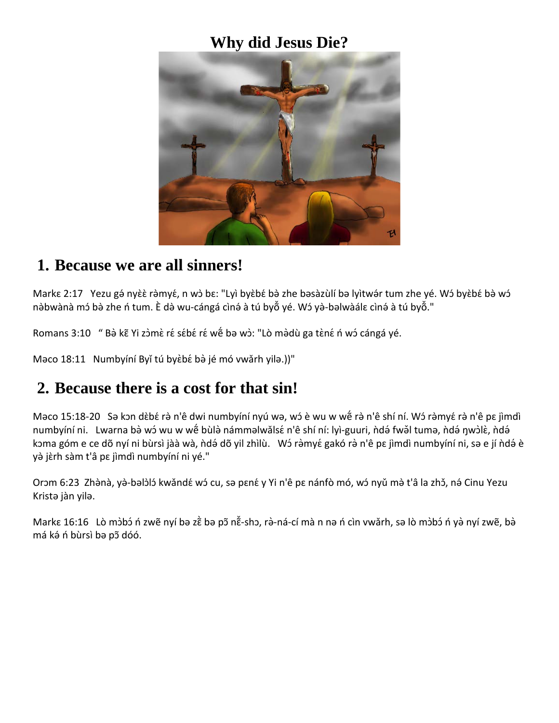# **Why did Jesus Die?**



#### **1. Because we are all sinners!**

Markɛ 2:17 Yezu gə́nyɛ̀ɛ̀ rə̀myɛ́, n wɔ̀ bɛ: "Lyi byɛ̀bɛ́ bə̀ zhe bəsàzùlí bə lyitwə́r tum zhe yé. Wɔ́ byɛ̀bɛ́ bə̀ wɔ́ nə̀bwànà mɔ́ bə̀ zhe n tum. È də̀ wu-cángá cìnə́ à tú byoঁ yé. Wɔ́ yə̀-bəlwàálɛ cìnə́ à tú byoঁ."

Romans 3:10 " Bà kẽ Yi zòmè ré sébé ré wế bə wò: "Lò màdù ga tèné ń wó cángá yé.

Məco 18:11 Numbyíní Byǐ tú byèbé bà jé mó vwǎrh yilə.))"

#### **2. Because there is a cost for that sin!**

Məco 15:18-20 Sə kɔn dɛ̀bɛ́ rə̀ n'ê dwi numbyíní nyú wə, wɔ́ è wu w wɐ̃ rə̀ n'ê shí ní. Wɔ́ rə̀myɛ́ rə̀ n'ê pɛ jìmdì numbyíní ni. Lwarna bə̀ wɔ́ wu w wḗ bùlə̀ námməlwǎlsɛ́ n'ê shí ní: lyì-guuri, ǹdə́ fwə̌l tumə, ǹdə́ ŋwɔ̀lɛ̀, ǹdə́ kɔma góm e ce dõ nyí ni bùrsì jàà wà, ǹdə́ dõ yil zhìlù. Wɔ́ rə̀myɛ́ gakó rə̀ n'ê pɛ jìmdì numbyíní ni, sə e jí ǹdə́ è yè jèrh sàm t'â pε jìmdì numbyíní ni yé."

Orɔm 6:23 Zhə̀nà, yə̀-bəlɔ̀lɔ́ kwǎndɛ́ wɔ́ cu, sə pɛnɛ́ y Yi n'ê pɛ nánfò mó, wɔ́ nyǔ mə̀ t'â la zhɔ̃, nə́ Cinu Yezu Kristə jàn yilə.

Markɛ 16:16 Lò mɔ̀bɔ́ ń zwẽ nyí bə zɛ̀̀bə pɔ̃nɛ̃̆-shɔ, rə̀-ná-cí mà n nə ń cìn vwǎrh, sə lò mɔ̀bɔ́ ń yə̀ nyí zwẽ, bə̀ má ké ń bùrsì ba põ dóó.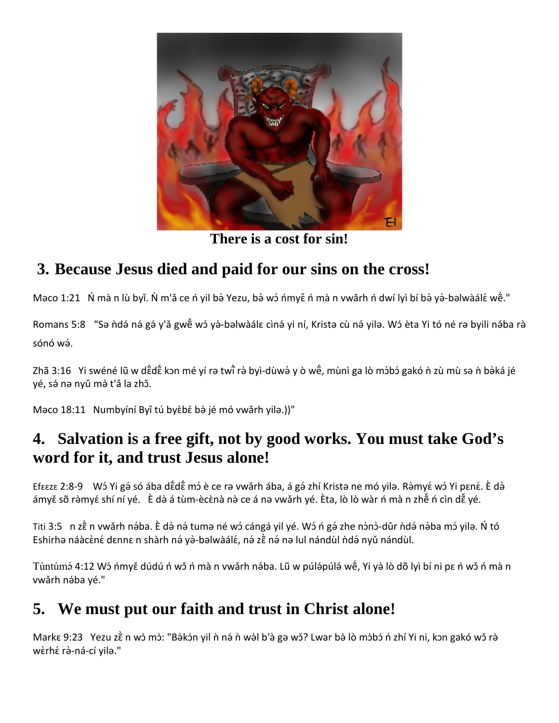

**There is a cost for sin!**

## **3. Because Jesus died and paid for our sins on the cross!**

Məco 1:21 Ń mà n lù byǐ. Ǹ m'ǎ ce ń yil bə̀ Yezu, bə̀ wɔ́ ńmyɛ̌ ń mà n vwǎrh ń dwí lyì bí bə̀ yə̀-bəlwàálɛ́ wɐ̃́."

Romans 5:8 "Sə ndə nə gə y'a gwe w ya-bəlwaale cinə yi ni, Kristə cù nə yilə. W i eta Yi to ne rə byili nəba ra sónó wə́ .

Zhã 3:16 Yi swéné lũ w dἕdἕ kɔn mé yí rə twi̇̃ rə̀ byì-dùwə̀ y ò wḗ, mùnì ga lò mɔ̀bɔ́ gakó ǹ zù mù sə ǹ bə̀ká jé yé, sá na nyǔ mà t'â la zhǒ.

Məco 18:11 Numbyíní Byǐ tú byèbé bà jé mó vwǎrh yilə.))"

#### **4. Salvation is a free gift, not by good works. You must take God's word for it, and trust Jesus alone!**

Efɛɛzɛ 2:8-9 Wɔ́ Yi gə́ só ába dɛ̃dɛ̃́ mɔ́ è ce rə vwǎrh ába, á gə́ zhí Kristə ne mó yilə. Rə̀myɛ́ wɔ́ Yi pɛnɛ́. È də̀ ámyě sõ rə̀myé shí ní yé. È də̀ á tùm-ècènà nə̀ ce á nə vwǎrh yé. Èta, lò lò wàr ń mà n zhễ ń cìn dễ yé.

Titi 3:5 n zằ n vwǎrh nə́ba. È də̀ nə́ tumə né wɔ́ cángá yil yé. Wɔ́ ń gə́ zhe nɔ̀nɔ̀-dǔr ǹdə́ nə́ba mɔ́ yilə. Ń tó Eshirhə náàcèné dɛnnɛ n shàrh nə́ yə̀-bəlwàálɛ́, nə́ zɛ̃̀ nə́ nə lul nándùl ǹdə́ nyǔ nándùl.

Tùntúmə́ 4:12 Wɔ́ ńmyɛ̌ dúdú ń wɔ̌ ń mà n vwǎrh nə́ba. Lũ w púlə́púlə́ wɐ̃́, Yi yə̀ lò dõ lyì bí ni pɛ ń wɔ̌ ń mà n vwǎrh nába yé."

### **5. We must put our faith and trust in Christ alone!**

Markɛ 9:23 Yezu zɛ̃̀n wɔ̀ mɔ̀: "Bə̀kɔ́n yil ǹ nə́ ǹ wə̀l b'à gə wɔ̌? Lwar bə̀ lò mɔ̀bɔ́ ń zhí Yi ni, kɔn gakó wɔ̌ rə̀ wèrhé rà-ná-cí yila."